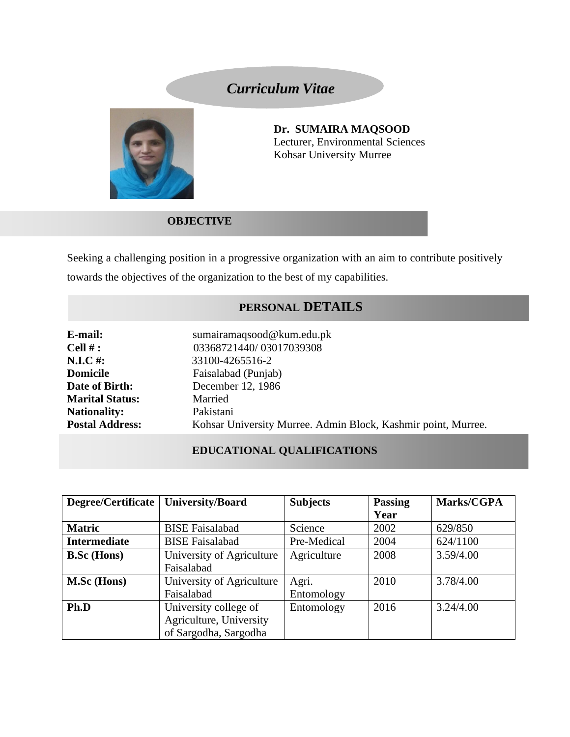# *Curriculum Vitae*



## **Dr. SUMAIRA MAQSOOD** Lecturer, Environmental Sciences Kohsar University Murree

## **OBJECTIVE**

Seeking a challenging position in a progressive organization with an aim to contribute positively towards the objectives of the organization to the best of my capabilities.

## **PERSONAL DETAILS**

| E-mail:                | sumairamaqsood@kum.edu.pk                                     |
|------------------------|---------------------------------------------------------------|
| Cell $#$ :             | 03368721440/03017039308                                       |
| $N.I.C$ #:             | 33100-4265516-2                                               |
| <b>Domicile</b>        | Faisalabad (Punjab)                                           |
| Date of Birth:         | December 12, 1986                                             |
| <b>Marital Status:</b> | Married                                                       |
| <b>Nationality:</b>    | Pakistani                                                     |
| <b>Postal Address:</b> | Kohsar University Murree. Admin Block, Kashmir point, Murree. |

## **EDUCATIONAL QUALIFICATIONS**

| Degree/Certificate  | <b>University/Board</b>   | <b>Subjects</b> | <b>Passing</b> | Marks/CGPA |
|---------------------|---------------------------|-----------------|----------------|------------|
|                     |                           |                 | Year           |            |
| <b>Matric</b>       | <b>BISE Faisalabad</b>    | Science         | 2002           | 629/850    |
| <b>Intermediate</b> | <b>BISE Faisalabad</b>    | Pre-Medical     | 2004           | 624/1100   |
| <b>B.Sc</b> (Hons)  | University of Agriculture | Agriculture     | 2008           | 3.59/4.00  |
|                     | Faisalabad                |                 |                |            |
| <b>M.Sc</b> (Hons)  | University of Agriculture | Agri.           | 2010           | 3.78/4.00  |
|                     | Faisalabad                | Entomology      |                |            |
| Ph.D                | University college of     | Entomology      | 2016           | 3.24/4.00  |
|                     | Agriculture, University   |                 |                |            |
|                     | of Sargodha, Sargodha     |                 |                |            |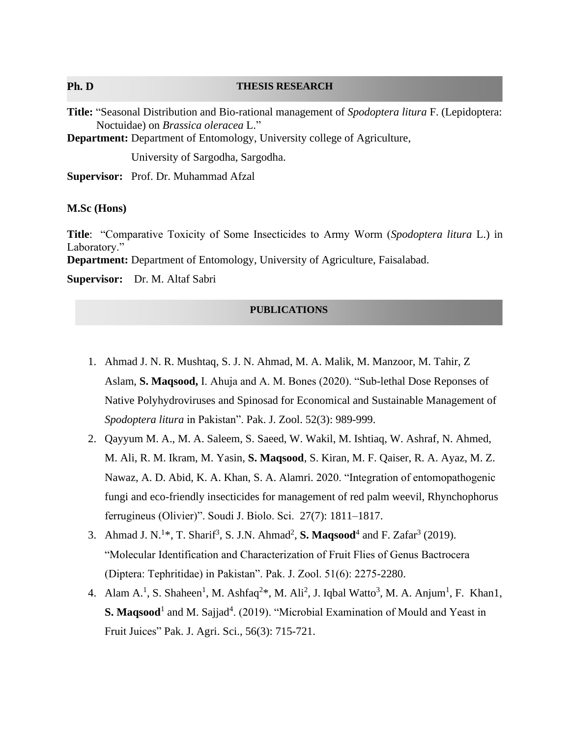#### **Ph. D**

#### **THESIS RESEARCH**

**Title:** "Seasonal Distribution and Bio-rational management of *Spodoptera litura* F. (Lepidoptera: Noctuidae) on *Brassica oleracea* L."

**Department:** Department of Entomology, University college of Agriculture,

University of Sargodha, Sargodha.

**Supervisor:** Prof. Dr. Muhammad Afzal

#### **M.Sc (Hons)**

**Title**: "Comparative Toxicity of Some Insecticides to Army Worm (*Spodoptera litura* L.) in Laboratory."

**Department:** Department of Entomology, University of Agriculture, Faisalabad.

**Supervisor:** Dr. M. Altaf Sabri

### **PUBLICATIONS**

- 1. Ahmad J. N. R. Mushtaq, S. J. N. Ahmad, M. A. Malik, M. Manzoor, M. Tahir, Z Aslam, **S. Maqsood,** I. Ahuja and A. M. Bones (2020). "Sub-lethal Dose Reponses of Native Polyhydroviruses and Spinosad for Economical and Sustainable Management of *Spodoptera litura* in Pakistan". Pak. J. Zool. 52(3): 989-999.
- 2. Qayyum M. A., M. A. Saleem, S. Saeed, W. Wakil, M. Ishtiaq, W. Ashraf, N. Ahmed, M. Ali, R. M. Ikram, M. Yasin, **S. Maqsood**, S. Kiran, M. F. Qaiser, R. A. Ayaz, M. Z. Nawaz, A. D. Abid, K. A. Khan, S. A. Alamri. 2020. "Integration of entomopathogenic fungi and eco-friendly insecticides for management of red palm weevil, Rhynchophorus ferrugineus (Olivier)". Soudi J. Biolo. Sci. 27(7): 1811–1817.
- 3. Ahmad J. N.<sup>1\*</sup>, T. Sharif<sup>3</sup>, S. J.N. Ahmad<sup>2</sup>, S. Maqsood<sup>4</sup> and F. Zafar<sup>3</sup> (2019). "Molecular Identification and Characterization of Fruit Flies of Genus Bactrocera (Diptera: Tephritidae) in Pakistan". Pak. J. Zool. 51(6): 2275-2280.
- 4. Alam  $A<sup>1</sup>$ , S. Shaheen<sup>1</sup>, M. Ashfaq<sup>2\*</sup>, M. Ali<sup>2</sup>, J. Iqbal Watto<sup>3</sup>, M. A. Anjum<sup>1</sup>, F. Khan1, **S. Maqsood**<sup>1</sup> and M. Sajjad<sup>4</sup>. (2019). "Microbial Examination of Mould and Yeast in Fruit Juices" Pak. J. Agri. Sci., 56(3): 715-721.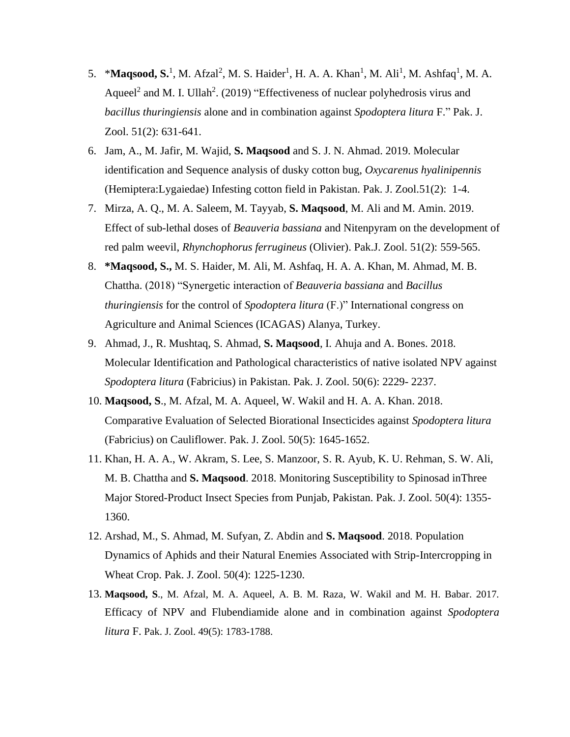- 5. \*Maqsood, S.<sup>1</sup>, M. Afzal<sup>2</sup>, M. S. Haider<sup>1</sup>, H. A. A. Khan<sup>1</sup>, M. Ali<sup>1</sup>, M. Ashfaq<sup>1</sup>, M. A. Aqueel<sup>2</sup> and M. I. Ullah<sup>2</sup>. (2019) "Effectiveness of nuclear polyhedrosis virus and *bacillus thuringiensis* alone and in combination against *Spodoptera litura* F." Pak. J. Zool. 51(2): 631-641.
- 6. Jam, A., M. Jafir, M. Wajid, **S. Maqsood** and S. J. N. Ahmad. 2019. Molecular identification and Sequence analysis of dusky cotton bug, *Oxycarenus hyalinipennis* (Hemiptera:Lygaiedae) Infesting cotton field in Pakistan. Pak. J. Zool.51(2): 1-4.
- 7. Mirza, A. Q., M. A. Saleem, M. Tayyab, **S. Maqsood**, M. Ali and M. Amin. 2019. Effect of sub-lethal doses of *Beauveria bassiana* and Nitenpyram on the development of red palm weevil, *Rhynchophorus ferrugineus* (Olivier). Pak.J. Zool. 51(2): 559-565.
- 8. **\*Maqsood, S.,** M. S. Haider, M. Ali, M. Ashfaq, H. A. A. Khan, M. Ahmad, M. B. Chattha. (2018) "Synergetic interaction of *Beauveria bassiana* and *Bacillus thuringiensis* for the control of *Spodoptera litura* (F.)" International congress on Agriculture and Animal Sciences (ICAGAS) Alanya, Turkey.
- 9. Ahmad, J., R. Mushtaq, S. Ahmad, **S. Maqsood**, I. Ahuja and A. Bones. 2018. Molecular Identification and Pathological characteristics of native isolated NPV against *Spodoptera litura* (Fabricius) in Pakistan. Pak. J. Zool. 50(6): 2229- 2237.
- 10. **Maqsood, S**., M. Afzal, M. A. Aqueel, W. Wakil and H. A. A. Khan. 2018. Comparative Evaluation of Selected Biorational Insecticides against *Spodoptera litura*  (Fabricius) on Cauliflower. Pak. J. Zool. 50(5): 1645-1652.
- 11. Khan, H. A. A., W. Akram, S. Lee, S. Manzoor, S. R. Ayub, K. U. Rehman, S. W. Ali, M. B. Chattha and **S. Maqsood**. 2018. Monitoring Susceptibility to Spinosad inThree Major Stored-Product Insect Species from Punjab, Pakistan. Pak. J. Zool. 50(4): 1355- 1360.
- 12. Arshad, M., S. Ahmad, M. Sufyan, Z. Abdin and **S. Maqsood**. 2018. Population Dynamics of Aphids and their Natural Enemies Associated with Strip-Intercropping in Wheat Crop. Pak. J. Zool. 50(4): 1225-1230.
- 13. **Maqsood, S**., M. Afzal, M. A. Aqueel, A. B. M. Raza, W. Wakil and M. H. Babar. 2017. Efficacy of NPV and Flubendiamide alone and in combination against *Spodoptera litura* F. Pak. J. Zool. 49(5): 1783-1788.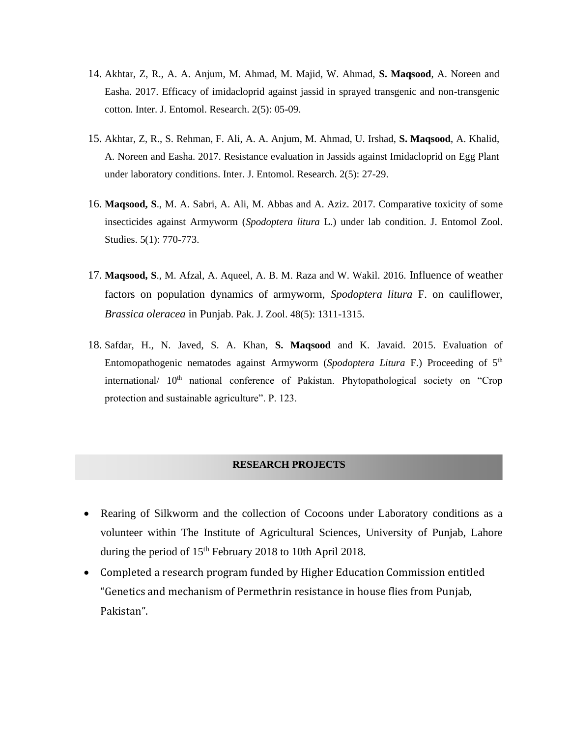- 14. Akhtar, Z, R., A. A. Anjum, M. Ahmad, M. Majid, W. Ahmad, **S. Maqsood**, A. Noreen and Easha. 2017. Efficacy of imidacloprid against jassid in sprayed transgenic and non-transgenic cotton. Inter. J. Entomol. Research. 2(5): 05-09.
- 15. Akhtar, Z, R., S. Rehman, F. Ali, A. A. Anjum, M. Ahmad, U. Irshad, **S. Maqsood**, A. Khalid, A. Noreen and Easha. 2017. Resistance evaluation in Jassids against Imidacloprid on Egg Plant under laboratory conditions. Inter. J. Entomol. Research. 2(5): 27-29.
- 16. **Maqsood, S**., M. A. Sabri, A. Ali, M. Abbas and A. Aziz. 2017. Comparative toxicity of some insecticides against Armyworm (*Spodoptera litura* L.) under lab condition. J. Entomol Zool. Studies. 5(1): 770-773.
- 17. **Maqsood, S**., M. Afzal, A. Aqueel, A. B. M. Raza and W. Wakil. 2016. Influence of weather factors on population dynamics of armyworm, *Spodoptera litura* F. on cauliflower, *Brassica oleracea* in Punjab. Pak. J. Zool. 48(5): 1311-1315.
- 18. Safdar, H., N. Javed, S. A. Khan, **S. Maqsood** and K. Javaid. 2015. Evaluation of Entomopathogenic nematodes against Armyworm (*Spodoptera Litura* F.) Proceeding of 5th international/  $10<sup>th</sup>$  national conference of Pakistan. Phytopathological society on "Crop" protection and sustainable agriculture". P. 123.

#### **RESEARCH PROJECTS**

- Rearing of Silkworm and the collection of Cocoons under Laboratory conditions as a volunteer within The Institute of Agricultural Sciences, University of Punjab, Lahore during the period of  $15<sup>th</sup>$  February 2018 to 10th April 2018.
- Completed a research program funded by Higher Education Commission entitled "Genetics and mechanism of Permethrin resistance in house flies from Punjab, Pakistan".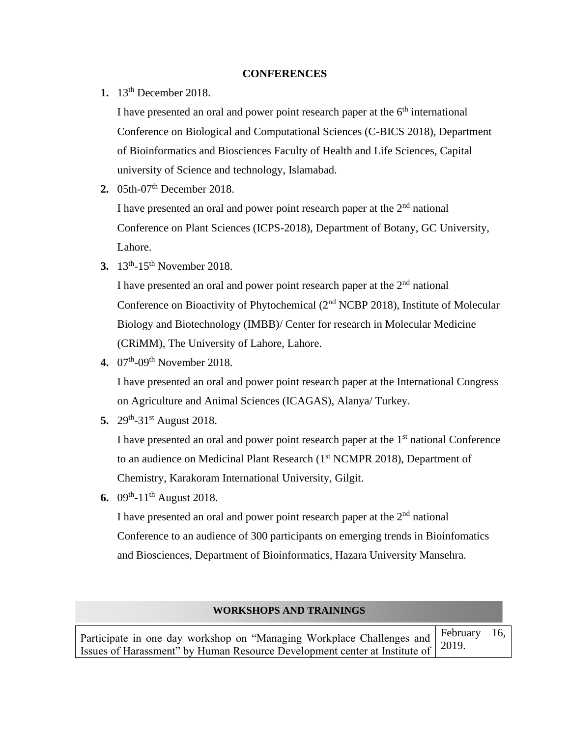### **CONFERENCES**

**1.** 13th December 2018.

I have presented an oral and power point research paper at the  $6<sup>th</sup>$  international Conference on Biological and Computational Sciences (C-BICS 2018), Department of Bioinformatics and Biosciences Faculty of Health and Life Sciences, Capital university of Science and technology, Islamabad.

2. 05th-07<sup>th</sup> December 2018.

I have presented an oral and power point research paper at the  $2<sup>nd</sup>$  national Conference on Plant Sciences (ICPS-2018), Department of Botany, GC University, Lahore.

**3.** 13th -15th November 2018.

I have presented an oral and power point research paper at the  $2<sup>nd</sup>$  national Conference on Bioactivity of Phytochemical (2nd NCBP 2018), Institute of Molecular Biology and Biotechnology (IMBB)/ Center for research in Molecular Medicine (CRiMM), The University of Lahore, Lahore.

**4.** 07th -09th November 2018.

I have presented an oral and power point research paper at the International Congress on Agriculture and Animal Sciences (ICAGAS), Alanya/ Turkey.

5.  $29^{\text{th}} - 31^{\text{st}}$  August 2018.

I have presented an oral and power point research paper at the 1<sup>st</sup> national Conference to an audience on Medicinal Plant Research (1<sup>st</sup> NCMPR 2018), Department of Chemistry, Karakoram International University, Gilgit.

**6.** 09<sup>th</sup>-11<sup>th</sup> August 2018.

I have presented an oral and power point research paper at the  $2<sup>nd</sup>$  national Conference to an audience of 300 participants on emerging trends in Bioinfomatics and Biosciences, Department of Bioinformatics, Hazara University Mansehra.

## **WORKSHOPS AND TRAININGS**

| Participate in one day workshop on "Managing Workplace Challenges and February 16,<br>Issues of Harassment" by Human Resource Development center at Institute of 2019. |  |
|------------------------------------------------------------------------------------------------------------------------------------------------------------------------|--|
|                                                                                                                                                                        |  |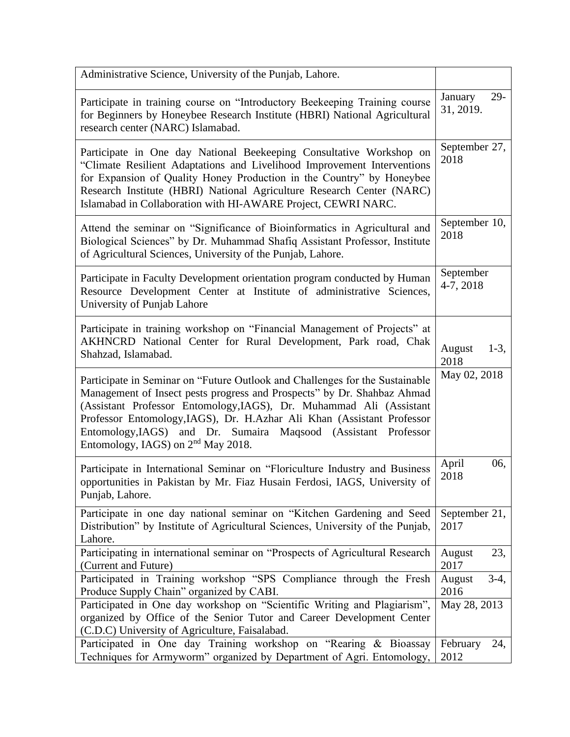| Administrative Science, University of the Punjab, Lahore.                                                                                                                                                                                                                                                                                                                                                          |                               |
|--------------------------------------------------------------------------------------------------------------------------------------------------------------------------------------------------------------------------------------------------------------------------------------------------------------------------------------------------------------------------------------------------------------------|-------------------------------|
| Participate in training course on "Introductory Beekeeping Training course<br>for Beginners by Honeybee Research Institute (HBRI) National Agricultural<br>research center (NARC) Islamabad.                                                                                                                                                                                                                       | $29-$<br>January<br>31, 2019. |
| Participate in One day National Beekeeping Consultative Workshop on<br>"Climate Resilient Adaptations and Livelihood Improvement Interventions<br>for Expansion of Quality Honey Production in the Country" by Honeybee<br>Research Institute (HBRI) National Agriculture Research Center (NARC)<br>Islamabad in Collaboration with HI-AWARE Project, CEWRI NARC.                                                  | September 27,<br>2018         |
| Attend the seminar on "Significance of Bioinformatics in Agricultural and<br>Biological Sciences" by Dr. Muhammad Shafiq Assistant Professor, Institute<br>of Agricultural Sciences, University of the Punjab, Lahore.                                                                                                                                                                                             | September 10,<br>2018         |
| Participate in Faculty Development orientation program conducted by Human<br>Resource Development Center at Institute of administrative Sciences,<br>University of Punjab Lahore                                                                                                                                                                                                                                   | September<br>4-7, 2018        |
| Participate in training workshop on "Financial Management of Projects" at<br>AKHNCRD National Center for Rural Development, Park road, Chak<br>Shahzad, Islamabad.                                                                                                                                                                                                                                                 | $1-3,$<br>August<br>2018      |
| Participate in Seminar on "Future Outlook and Challenges for the Sustainable<br>Management of Insect pests progress and Prospects" by Dr. Shahbaz Ahmad<br>(Assistant Professor Entomology, IAGS), Dr. Muhammad Ali (Assistant<br>Professor Entomology, IAGS), Dr. H.Azhar Ali Khan (Assistant Professor<br>Entomology, IAGS) and Dr. Sumaira Maqsood (Assistant Professor<br>Entomology, IAGS) on $2nd$ May 2018. | May 02, 2018                  |
| Participate in International Seminar on "Floriculture Industry and Business<br>opportunities in Pakistan by Mr. Fiaz Husain Ferdosi, IAGS, University of<br>Punjab, Lahore.                                                                                                                                                                                                                                        | April<br>06,<br>2018          |
| Participate in one day national seminar on "Kitchen Gardening and Seed<br>Distribution" by Institute of Agricultural Sciences, University of the Punjab,<br>Lahore.                                                                                                                                                                                                                                                | September 21,<br>2017         |
| Participating in international seminar on "Prospects of Agricultural Research<br>(Current and Future)                                                                                                                                                                                                                                                                                                              | 23,<br>August<br>2017         |
| Participated in Training workshop "SPS Compliance through the Fresh<br>Produce Supply Chain" organized by CABI.                                                                                                                                                                                                                                                                                                    | $3-4,$<br>August<br>2016      |
| Participated in One day workshop on "Scientific Writing and Plagiarism",<br>organized by Office of the Senior Tutor and Career Development Center<br>(C.D.C) University of Agriculture, Faisalabad.                                                                                                                                                                                                                | May 28, 2013                  |
| Participated in One day Training workshop on "Rearing & Bioassay<br>Techniques for Armyworm" organized by Department of Agri. Entomology,                                                                                                                                                                                                                                                                          | February<br>24,<br>2012       |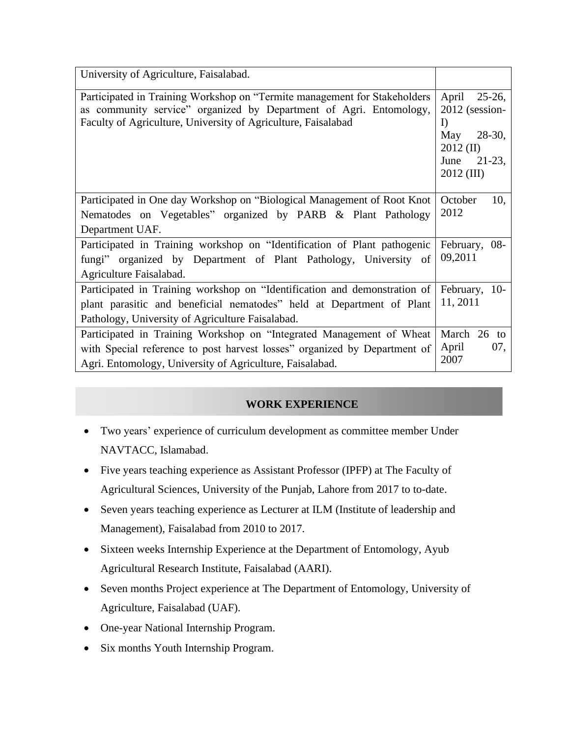| University of Agriculture, Faisalabad.                                                                                                                                                                                                                                                                                                 |                                                                                                                |
|----------------------------------------------------------------------------------------------------------------------------------------------------------------------------------------------------------------------------------------------------------------------------------------------------------------------------------------|----------------------------------------------------------------------------------------------------------------|
| Participated in Training Workshop on "Termite management for Stakeholders"<br>as community service" organized by Department of Agri. Entomology,<br>Faculty of Agriculture, University of Agriculture, Faisalabad                                                                                                                      | April<br>$25-26$ ,<br>2012 (session-<br>I)<br>$28-30,$<br>May<br>$2012$ (II)<br>June<br>$21-23,$<br>2012 (III) |
| Participated in One day Workshop on "Biological Management of Root Knot"<br>Nematodes on Vegetables" organized by PARB & Plant Pathology<br>Department UAF.<br>Participated in Training workshop on "Identification of Plant pathogenic<br>fungi" organized by Department of Plant Pathology, University of<br>Agriculture Faisalabad. | October<br>10,<br>2012<br>February, 08-<br>09,2011                                                             |
| Participated in Training workshop on "Identification and demonstration of<br>plant parasitic and beneficial nematodes" held at Department of Plant<br>Pathology, University of Agriculture Faisalabad.                                                                                                                                 | February, 10-<br>11, 2011                                                                                      |
| Participated in Training Workshop on "Integrated Management of Wheat<br>with Special reference to post harvest losses" organized by Department of<br>Agri. Entomology, University of Agriculture, Faisalabad.                                                                                                                          | March 26 to<br>April<br>07,<br>2007                                                                            |

## **WORK EXPERIENCE**

- Two years' experience of curriculum development as committee member Under NAVTACC, Islamabad.
- Five years teaching experience as Assistant Professor (IPFP) at The Faculty of Agricultural Sciences, University of the Punjab, Lahore from 2017 to to-date.
- Seven years teaching experience as Lecturer at ILM (Institute of leadership and Management), Faisalabad from 2010 to 2017.
- Sixteen weeks Internship Experience at the Department of Entomology, Ayub Agricultural Research Institute, Faisalabad (AARI).
- Seven months Project experience at The Department of Entomology, University of Agriculture, Faisalabad (UAF).
- One-year National Internship Program.
- Six months Youth Internship Program.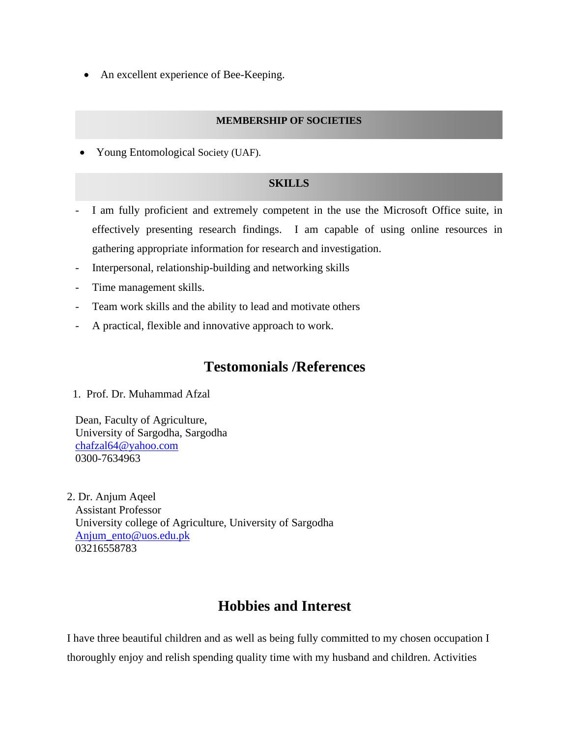• An excellent experience of Bee-Keeping.

## **MEMBERSHIP OF SOCIETIES**

• Young Entomological Society (UAF).

## **SKILLS**

- I am fully proficient and extremely competent in the use the Microsoft Office suite, in effectively presenting research findings. I am capable of using online resources in gathering appropriate information for research and investigation.
- Interpersonal, relationship-building and networking skills
- Time management skills.
- Team work skills and the ability to lead and motivate others
- A practical, flexible and innovative approach to work.

## **Testomonials /References**

1. Prof. Dr. Muhammad Afzal

 Dean, Faculty of Agriculture, University of Sargodha, Sargodha [chafzal64@yahoo.com](mailto:chafzal64@yahoo.com) 0300-7634963

2. Dr. Anjum Aqeel Assistant Professor University college of Agriculture, University of Sargodha [Anjum\\_ento@uos.edu.pk](mailto:Anjum_ento@uos.edu.pk) 03216558783

## **Hobbies and Interest**

I have three beautiful children and as well as being fully committed to my chosen occupation I thoroughly enjoy and relish spending quality time with my husband and children. Activities